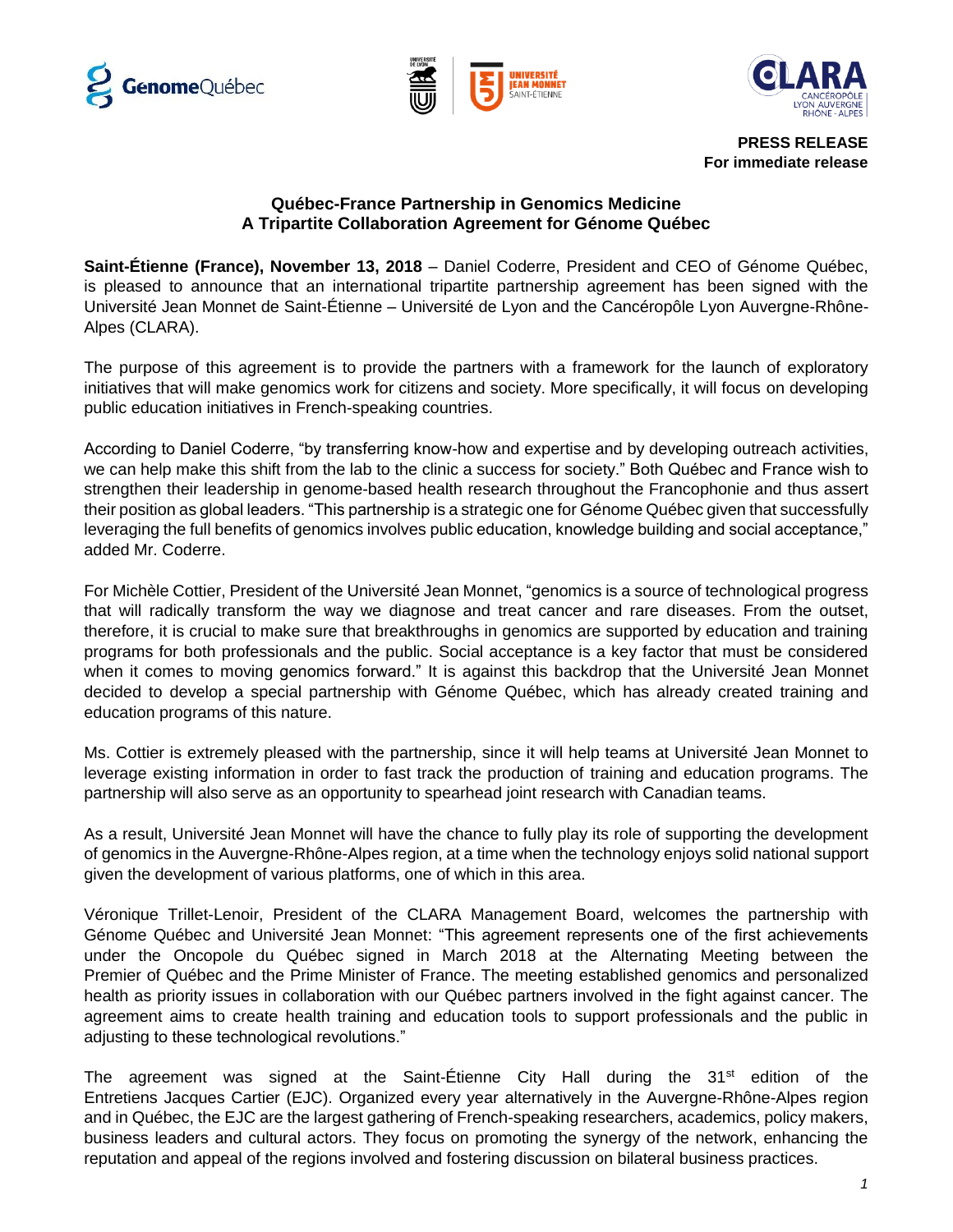





**PRESS RELEASE For immediate release**

## **Québec-France Partnership in Genomics Medicine A Tripartite Collaboration Agreement for Génome Québec**

**Saint-Étienne (France), November 13, 2018** – Daniel Coderre, President and CEO of Génome Québec, is pleased to announce that an international tripartite partnership agreement has been signed with the Université Jean Monnet de Saint-Étienne – Université de Lyon and the Cancéropôle Lyon Auvergne-Rhône-Alpes (CLARA).

The purpose of this agreement is to provide the partners with a framework for the launch of exploratory initiatives that will make genomics work for citizens and society. More specifically, it will focus on developing public education initiatives in French-speaking countries.

According to Daniel Coderre, "by transferring know-how and expertise and by developing outreach activities, we can help make this shift from the lab to the clinic a success for society." Both Québec and France wish to strengthen their leadership in genome-based health research throughout the Francophonie and thus assert their position as global leaders. "This partnership is a strategic one for Génome Québec given that successfully leveraging the full benefits of genomics involves public education, knowledge building and social acceptance," added Mr. Coderre.

For Michèle Cottier, President of the Université Jean Monnet, "genomics is a source of technological progress that will radically transform the way we diagnose and treat cancer and rare diseases. From the outset, therefore, it is crucial to make sure that breakthroughs in genomics are supported by education and training programs for both professionals and the public. Social acceptance is a key factor that must be considered when it comes to moving genomics forward." It is against this backdrop that the Université Jean Monnet decided to develop a special partnership with Génome Québec, which has already created training and education programs of this nature.

Ms. Cottier is extremely pleased with the partnership, since it will help teams at Université Jean Monnet to leverage existing information in order to fast track the production of training and education programs. The partnership will also serve as an opportunity to spearhead joint research with Canadian teams.

As a result, Université Jean Monnet will have the chance to fully play its role of supporting the development of genomics in the Auvergne-Rhône-Alpes region, at a time when the technology enjoys solid national support given the development of various platforms, one of which in this area.

Véronique Trillet-Lenoir, President of the CLARA Management Board, welcomes the partnership with Génome Québec and Université Jean Monnet: "This agreement represents one of the first achievements under the Oncopole du Québec signed in March 2018 at the Alternating Meeting between the Premier of Québec and the Prime Minister of France. The meeting established genomics and personalized health as priority issues in collaboration with our Québec partners involved in the fight against cancer. The agreement aims to create health training and education tools to support professionals and the public in adjusting to these technological revolutions."

The agreement was signed at the Saint-Étienne City Hall during the 31<sup>st</sup> edition of the Entretiens Jacques Cartier (EJC). Organized every year alternatively in the Auvergne-Rhône-Alpes region and in Québec, the EJC are the largest gathering of French-speaking researchers, academics, policy makers, business leaders and cultural actors. They focus on promoting the synergy of the network, enhancing the reputation and appeal of the regions involved and fostering discussion on bilateral business practices.